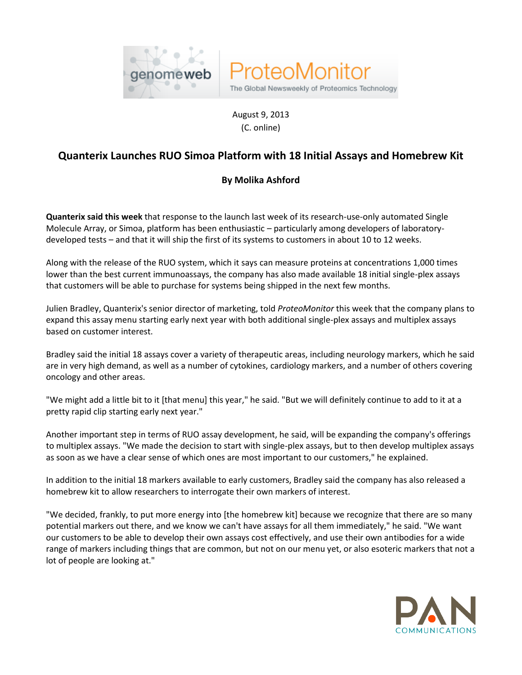



August 9, 2013 (C. online)

## **Quanterix Launches RUO Simoa Platform with 18 Initial Assays and Homebrew Kit**

## **By Molika Ashford**

**Quanterix said this week** that response to the launch last week of its research-use-only automated Single Molecule Array, or Simoa, platform has been enthusiastic – particularly among developers of laboratorydeveloped tests – and that it will ship the first of its systems to customers in about 10 to 12 weeks.

Along with the release of the RUO system, which it says can measure proteins at concentrations 1,000 times lower than the best current immunoassays, the company has also made available 18 initial single-plex assays that customers will be able to purchase for systems being shipped in the next few months.

Julien Bradley, Quanterix's senior director of marketing, told *ProteoMonitor* this week that the company plans to expand this assay menu starting early next year with both additional single-plex assays and multiplex assays based on customer interest.

Bradley said the initial 18 assays cover a variety of therapeutic areas, including neurology markers, which he said are in very high demand, as well as a number of cytokines, cardiology markers, and a number of others covering oncology and other areas.

"We might add a little bit to it [that menu] this year," he said. "But we will definitely continue to add to it at a pretty rapid clip starting early next year."

Another important step in terms of RUO assay development, he said, will be expanding the company's offerings to multiplex assays. "We made the decision to start with single-plex assays, but to then develop multiplex assays as soon as we have a clear sense of which ones are most important to our customers," he explained.

In addition to the initial 18 markers available to early customers, Bradley said the company has also released a homebrew kit to allow researchers to interrogate their own markers of interest.

"We decided, frankly, to put more energy into [the homebrew kit] because we recognize that there are so many potential markers out there, and we know we can't have assays for all them immediately," he said. "We want our customers to be able to develop their own assays cost effectively, and use their own antibodies for a wide range of markers including things that are common, but not on our menu yet, or also esoteric markers that not a lot of people are looking at."

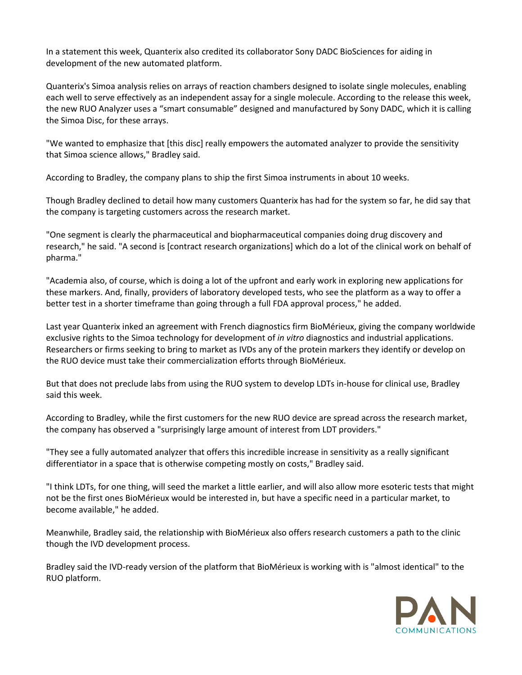In a statement this week, Quanterix also credited its collaborator Sony DADC BioSciences for aiding in development of the new automated platform.

Quanterix's Simoa analysis relies on arrays of reaction chambers designed to isolate single molecules, enabling each well to serve effectively as an independent assay for a single molecule. According to the release this week, the new RUO Analyzer uses a "smart consumable" designed and manufactured by Sony DADC, which it is calling the Simoa Disc, for these arrays.

"We wanted to emphasize that [this disc] really empowers the automated analyzer to provide the sensitivity that Simoa science allows," Bradley said.

According to Bradley, the company plans to ship the first Simoa instruments in about 10 weeks.

Though Bradley declined to detail how many customers Quanterix has had for the system so far, he did say that the company is targeting customers across the research market.

"One segment is clearly the pharmaceutical and biopharmaceutical companies doing drug discovery and research," he said. "A second is [contract research organizations] which do a lot of the clinical work on behalf of pharma."

"Academia also, of course, which is doing a lot of the upfront and early work in exploring new applications for these markers. And, finally, providers of laboratory developed tests, who see the platform as a way to offer a better test in a shorter timeframe than going through a full FDA approval process," he added.

Last year Quanterix inked an agreement with French diagnostics firm BioMérieux, giving the company worldwide exclusive rights to the Simoa technology for development of *in vitro* diagnostics and industrial applications. Researchers or firms seeking to bring to market as IVDs any of the protein markers they identify or develop on the RUO device must take their commercialization efforts through BioMérieux.

But that does not preclude labs from using the RUO system to develop LDTs in-house for clinical use, Bradley said this week.

According to Bradley, while the first customers for the new RUO device are spread across the research market, the company has observed a "surprisingly large amount of interest from LDT providers."

"They see a fully automated analyzer that offers this incredible increase in sensitivity as a really significant differentiator in a space that is otherwise competing mostly on costs," Bradley said.

"I think LDTs, for one thing, will seed the market a little earlier, and will also allow more esoteric tests that might not be the first ones BioMérieux would be interested in, but have a specific need in a particular market, to become available," he added.

Meanwhile, Bradley said, the relationship with BioMérieux also offers research customers a path to the clinic though the IVD development process.

Bradley said the IVD-ready version of the platform that BioMérieux is working with is "almost identical" to the RUO platform.